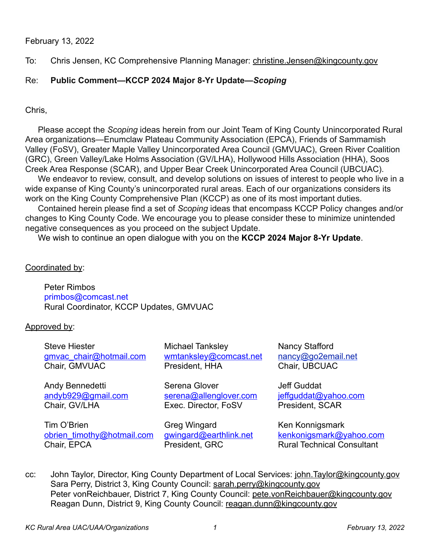# February 13, 2022

To: Chris Jensen, KC Comprehensive Planning Manager: [christine.Jensen@kingcounty.gov](mailto:christine.Jensen@kingcounty.gov)

# Re: **Public Comment—KCCP 2024 Major 8-Yr Update—***Scoping*

## Chris,

 Please accept the *Scoping* ideas herein from our Joint Team of King County Unincorporated Rural Area organizations—Enumclaw Plateau Community Association (EPCA), Friends of Sammamish Valley (FoSV), Greater Maple Valley Unincorporated Area Council (GMVUAC), Green River Coalition (GRC), Green Valley/Lake Holms Association (GV/LHA), Hollywood Hills Association (HHA), Soos Creek Area Response (SCAR), and Upper Bear Creek Unincorporated Area Council (UBCUAC).

We endeavor to review, consult, and develop solutions on issues of interest to people who live in a wide expanse of King County's unincorporated rural areas. Each of our organizations considers its work on the King County Comprehensive Plan (KCCP) as one of its most important duties.

Contained herein please find a set of *Scoping* ideas that encompass KCCP Policy changes and/or changes to King County Code. We encourage you to please consider these to minimize unintended negative consequences as you proceed on the subject Update.

We wish to continue an open dialogue with you on the **KCCP 2024 Major 8-Yr Update**.

#### Coordinated by:

Peter Rimbos primbos@comcast.net Rural Coordinator, KCCP Updates, GMVUAC

## Approved by:

Steve Hiester **Michael Tanksley** Nancy Stafford [gmvac\\_chair@hotmail.com](mailto:gmvac_chair@hotmail.com) [wmtanksley@comcast.net](mailto:wmtanksley@comcast.net) [nancy@go2email.net](mailto:nancy@go2email.net) Chair, GMVUAC President, HHA Chair, UBCUAC

Tim O'Brien Greg Wingard Ken Konnigsmark [obrien\\_timothy@hotmail.com](mailto:obrien_timothy@hotmail.com) [gwingard@earthlink.net](mailto:gwingard@earthlink.net) [kenkonigsmark@yahoo.com](mailto:kenkonigsmark@yahoo.com) Chair, EPCA President, GRC Rural Technical Consultant

Andy Bennedetti Serena Glover Jeff Guddat [andyb929@gmail.com](mailto:andyb929@gmail.com) [serena@allenglover.com](mailto:serena@allenglover.com) [jeffguddat@yahoo.com](mailto:jeffguddat@yahoo.com) Chair, GV/LHA Exec. Director, FoSV President, SCAR

cc: John Taylor, Director, King County Department of Local Services: [john.Taylor@kingcounty.gov](mailto:john.Taylor@kingcounty.gov) Sara Perry, District 3, King County Council: [sarah.perry@kingcounty.gov](mailto:sarah.perry@kingcounty.gov) Peter vonReichbauer, District 7, King County Council: [pete.vonReichbauer@kingcounty.gov](mailto:pete.vonReichbauer@kingcounty.gov) Reagan Dunn, District 9, King County Council: [reagan.dunn@kingcounty.gov](mailto:reagan.dunn@kingcounty.gov)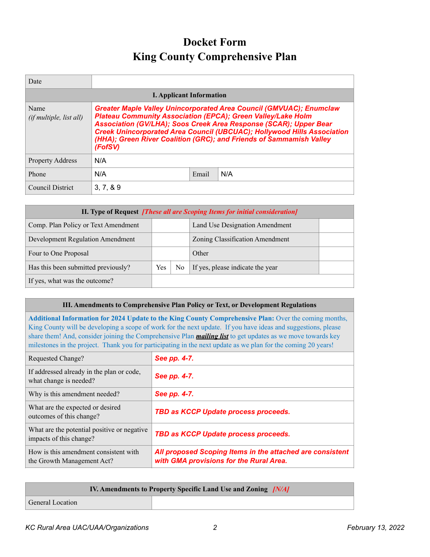# **Docket Form King County Comprehensive Plan**

| Date                                   |                                                                                                                                                                                                                                                                                                                                                                                     |       |     |  |  |
|----------------------------------------|-------------------------------------------------------------------------------------------------------------------------------------------------------------------------------------------------------------------------------------------------------------------------------------------------------------------------------------------------------------------------------------|-------|-----|--|--|
| <b>I. Applicant Information</b>        |                                                                                                                                                                                                                                                                                                                                                                                     |       |     |  |  |
| Name<br><i>(if multiple, list all)</i> | <b>Greater Maple Valley Unincorporated Area Council (GMVUAC); Enumclaw</b><br><b>Plateau Community Association (EPCA); Green Valley/Lake Holm</b><br>Association (GV/LHA); Soos Creek Area Response (SCAR); Upper Bear<br>Creek Unincorporated Area Council (UBCUAC); Hollywood Hills Association<br>(HHA); Green River Coalition (GRC); and Friends of Sammamish Valley<br>(FofSV) |       |     |  |  |
| <b>Property Address</b>                | N/A                                                                                                                                                                                                                                                                                                                                                                                 |       |     |  |  |
| Phone                                  | N/A                                                                                                                                                                                                                                                                                                                                                                                 | Email | N/A |  |  |
| Council District                       | 3.7.89                                                                                                                                                                                                                                                                                                                                                                              |       |     |  |  |

| II. Type of Request [These all are Scoping Items for initial consideration] |     |     |                                  |  |
|-----------------------------------------------------------------------------|-----|-----|----------------------------------|--|
| Comp. Plan Policy or Text Amendment                                         |     |     | Land Use Designation Amendment   |  |
| <b>Development Regulation Amendment</b>                                     |     |     | Zoning Classification Amendment  |  |
| Four to One Proposal                                                        |     |     | Other                            |  |
| Has this been submitted previously?                                         | Yes | No. | If yes, please indicate the year |  |
| If yes, what was the outcome?                                               |     |     |                                  |  |

#### **III. Amendments to Comprehensive Plan Policy or Text, or Development Regulations**

**Additional Information for 2024 Update to the King County Comprehensive Plan:** Over the coming months, King County will be developing a scope of work for the next update. If you have ideas and suggestions, please share them! And, consider joining the Comprehensive Plan *[mailing list](https://public.govdelivery.com/accounts/WAKING/subscriber/new?topic_id=WAKING_1057)* to get updates as we move towards key milestones in the project. Thank you for participating in the next update as we plan for the coming 20 years!

| See pp. 4-7.                                                                                         |
|------------------------------------------------------------------------------------------------------|
| See pp. 4-7.                                                                                         |
| See pp. 4-7.                                                                                         |
| TBD as KCCP Update process proceeds.                                                                 |
| TBD as KCCP Update process proceeds.                                                                 |
| All proposed Scoping Items in the attached are consistent<br>with GMA provisions for the Rural Area. |
|                                                                                                      |

| <b>IV. Amendments to Property Specific Land Use and Zoning [N/A]</b> |  |  |  |  |
|----------------------------------------------------------------------|--|--|--|--|
| <b>General Location</b>                                              |  |  |  |  |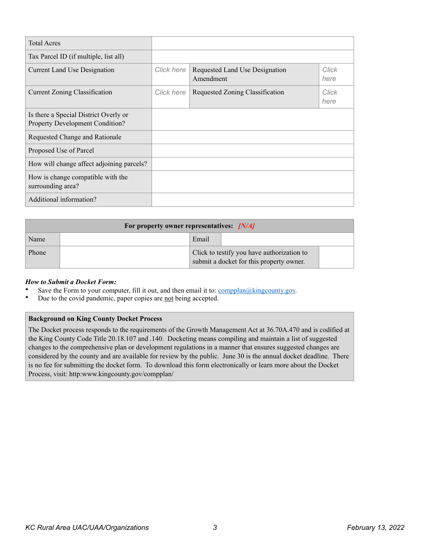| <b>Total Acres</b>                                                       |            |                                             |               |
|--------------------------------------------------------------------------|------------|---------------------------------------------|---------------|
| Tax Parcel ID (if multiple, list all)                                    |            |                                             |               |
| <b>Current Land Use Designation</b>                                      | Click here | Requested Land Use Designation<br>Amendment | Click<br>here |
| <b>Current Zoning Classification</b>                                     | Click here | Requested Zoning Classification             | Click<br>here |
| Is there a Special District Overly or<br>Property Development Condition? |            |                                             |               |
| Requested Change and Rationale                                           |            |                                             |               |
| Proposed Use of Parcel                                                   |            |                                             |               |
| How will change affect adjoining parcels?                                |            |                                             |               |
| How is change compatible with the<br>surrounding area?                   |            |                                             |               |
| Additional information?                                                  |            |                                             |               |

| For property owner representatives: $[N/A]$ |  |                                                                                        |  |  |  |
|---------------------------------------------|--|----------------------------------------------------------------------------------------|--|--|--|
| Name                                        |  | Email                                                                                  |  |  |  |
| Phone                                       |  | Click to testify you have authorization to<br>submit a docket for this property owner. |  |  |  |

#### *How to Submit a Docket Form:*

- Save the Form to your computer, fill it out, and then email it to:  $\overline{complan@kingcounty.gov}$ .
- Due to the covid pandemic, paper copies are not being accepted.

#### **Background on King County Docket Process**

The Docket process responds to the requirements of the Growth Management Act at 36.70A.470 and is codified at the King County Code Title 20.18.107 and .140. Docketing means compiling and maintain a list of suggested changes to the comprehensive plan or development regulations in a manner that ensures suggested changes are considered by the county and are available for review by the public. June 30 is the annual docket deadline. There is no fee for submitting the docket form. To download this form electronically or learn more about the Docket Process, visit: http:www.kingcounty.gov/compplan/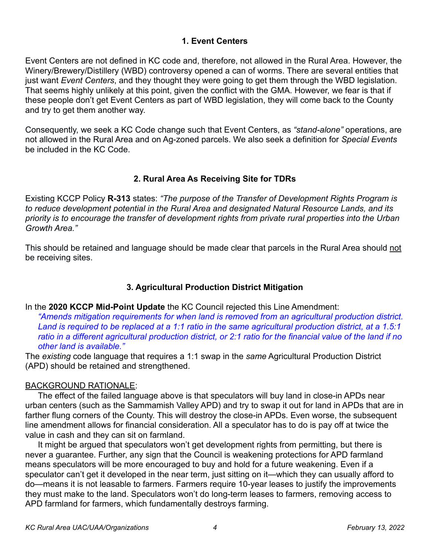# **1. Event Centers**

Event Centers are not defined in KC code and, therefore, not allowed in the Rural Area. However, the Winery/Brewery/Distillery (WBD) controversy opened a can of worms. There are several entities that just want *Event Centers*, and they thought they were going to get them through the WBD legislation. That seems highly unlikely at this point, given the conflict with the GMA. However, we fear is that if these people don't get Event Centers as part of WBD legislation, they will come back to the County and try to get them another way.

Consequently, we seek a KC Code change such that Event Centers, as *"stand-alone"* operations, are not allowed in the Rural Area and on Ag-zoned parcels. We also seek a definition for *Special Events* be included in the KC Code.

# **2. Rural Area As Receiving Site for TDRs**

Existing KCCP Policy **R-313** states: *"The purpose of the Transfer of Development Rights Program is to reduce development potential in the Rural Area and designated Natural Resource Lands, and its priority is to encourage the transfer of development rights from private rural properties into the Urban Growth Area."* 

This should be retained and language should be made clear that parcels in the Rural Area should not be receiving sites.

# **3. Agricultural Production District Mitigation**

In the **2020 KCCP Mid-Point Update** the KC Council rejected this Line Amendment:

*"Amends mitigation requirements for when land is removed from an agricultural production district. Land is required to be replaced at a 1:1 ratio in the same agricultural production district, at a 1.5:1 ratio in a different agricultural production district, or 2:1 ratio for the financial value of the land if no other land is available."*

The *existing* code language that requires a 1:1 swap in the *same* Agricultural Production District (APD) should be retained and strengthened.

## BACKGROUND RATIONALE:

 The effect of the failed language above is that speculators will buy land in close-in APDs near urban centers (such as the Sammamish Valley APD) and try to swap it out for land in APDs that are in farther flung corners of the County. This will destroy the close-in APDs. Even worse, the subsequent line amendment allows for financial consideration. All a speculator has to do is pay off at twice the value in cash and they can sit on farmland.

 It might be argued that speculators won't get development rights from permitting, but there is never a guarantee. Further, any sign that the Council is weakening protections for APD farmland means speculators will be more encouraged to buy and hold for a future weakening. Even if a speculator can't get it developed in the near term, just sitting on it—which they can usually afford to do—means it is not leasable to farmers. Farmers require 10-year leases to justify the improvements they must make to the land. Speculators won't do long-term leases to farmers, removing access to APD farmland for farmers, which fundamentally destroys farming.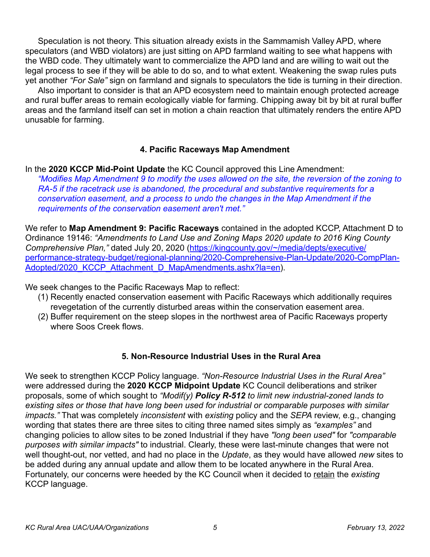Speculation is not theory. This situation already exists in the Sammamish Valley APD, where speculators (and WBD violators) are just sitting on APD farmland waiting to see what happens with the WBD code. They ultimately want to commercialize the APD land and are willing to wait out the legal process to see if they will be able to do so, and to what extent. Weakening the swap rules puts yet another *"For Sale"* sign on farmland and signals to speculators the tide is turning in their direction.

 Also important to consider is that an APD ecosystem need to maintain enough protected acreage and rural buffer areas to remain ecologically viable for farming. Chipping away bit by bit at rural buffer areas and the farmland itself can set in motion a chain reaction that ultimately renders the entire APD unusable for farming.

## **4. Pacific Raceways Map Amendment**

In the **2020 KCCP Mid-Point Update** the KC Council approved this Line Amendment:

*"Modifies Map Amendment 9 to modify the uses allowed on the site, the reversion of the zoning to RA-5 if the racetrack use is abandoned, the procedural and substantive requirements for a conservation easement, and a process to undo the changes in the Map Amendment if the requirements of the conservation easement aren't met."*

We refer to **Map Amendment 9: Pacific Raceways** contained in the adopted KCCP, Attachment D to Ordinance 19146: *"Amendments to Land Use and Zoning Maps 2020 update to 2016 King County Comprehensive Plan,"* dated July 20, 2020 [\(https://kingcounty.gov/~/media/depts/executive/](https://kingcounty.gov/~/media/depts/executive/performance-strategy-budget/regional-planning/2020-Comprehensive-Plan-Update/2020-CompPlan-Adopted/2020_KCCP_Attachment_D_MapAmendments.ashx?la=en) [performance-strategy-budget/regional-planning/2020-Comprehensive-Plan-Update/2020-CompPlan-](https://kingcounty.gov/~/media/depts/executive/performance-strategy-budget/regional-planning/2020-Comprehensive-Plan-Update/2020-CompPlan-Adopted/2020_KCCP_Attachment_D_MapAmendments.ashx?la=en)Adopted/2020 KCCP Attachment D MapAmendments.ashx?la=en).

We seek changes to the Pacific Raceways Map to reflect:

- (1) Recently enacted conservation easement with Pacific Raceways which additionally requires revegetation of the currently disturbed areas within the conservation easement area.
- (2) Buffer requirement on the steep slopes in the northwest area of Pacific Raceways property where Soos Creek flows.

## **5. Non-Resource Industrial Uses in the Rural Area**

We seek to strengthen KCCP Policy language. *"Non-Resource Industrial Uses in the Rural Area"* were addressed during the **2020 KCCP Midpoint Update** KC Council deliberations and striker proposals, some of which sought to *"Modif(y) Policy R-512 to limit new industrial-zoned lands to existing sites or those that have long been used for industrial or comparable purposes with similar impacts."* That was completely *inconsistent* with *existing* policy and the *SEPA* review, e.g., changing wording that states there are three sites to citing three named sites simply as *"examples"* and changing policies to allow sites to be zoned Industrial if they have *"long been used"* for *"comparable purposes with similar impacts"* to industrial. Clearly, these were last-minute changes that were not well thought-out, nor vetted, and had no place in the *Update*, as they would have allowed *new* sites to be added during any annual update and allow them to be located anywhere in the Rural Area. Fortunately, our concerns were heeded by the KC Council when it decided to retain the *existing* KCCP language.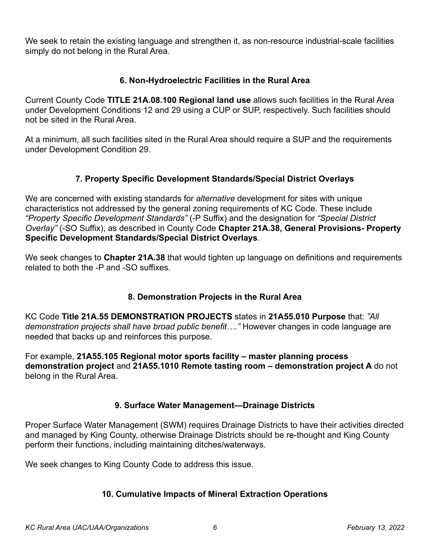We seek to retain the existing language and strengthen it, as non-resource industrial-scale facilities simply do not belong in the Rural Area.

# **6. Non-Hydroelectric Facilities in the Rural Area**

Current County Code **TITLE 21A.08.100 Regional land use** allows such facilities in the Rural Area under Development Conditions 12 and 29 using a CUP or SUP, respectively. Such facilities should not be sited in the Rural Area.

At a minimum, all such facilities sited in the Rural Area should require a SUP and the requirements under Development Condition 29.

# **7. Property Specific Development Standards/Special District Overlays**

We are concerned with existing standards for *alternative* development for sites with unique characteristics not addressed by the general zoning requirements of KC Code. These include *"Property Specific Development Standards"* (-P Suffix) and the designation for *"Special District Overlay"* (-SO Suffix), as described in County Code **Chapter 21A.38, General Provisions- Property Specific Development Standards/Special District Overlays**.

We seek changes to **Chapter 21A.38** that would tighten up language on definitions and requirements related to both the -P and -SO suffixes.

# **8. Demonstration Projects in the Rural Area**

KC Code **Title 21A.55 DEMONSTRATION PROJECTS** states in **21A55.010 Purpose** that: *"All demonstration projects shall have broad public benefit…."* However changes in code language are needed that backs up and reinforces this purpose.

For example, **21A55.105 Regional motor sports facility – master planning process demonstration project** and **21A55.1010 Remote tasting room – demonstration project A** do not belong in the Rural Area.

## **9. Surface Water Management—Drainage Districts**

Proper Surface Water Management (SWM) requires Drainage Districts to have their activities directed and managed by King County, otherwise Drainage Districts should be re-thought and King County perform their functions, including maintaining ditches/waterways.

We seek changes to King County Code to address this issue.

## **10. Cumulative Impacts of Mineral Extraction Operations**